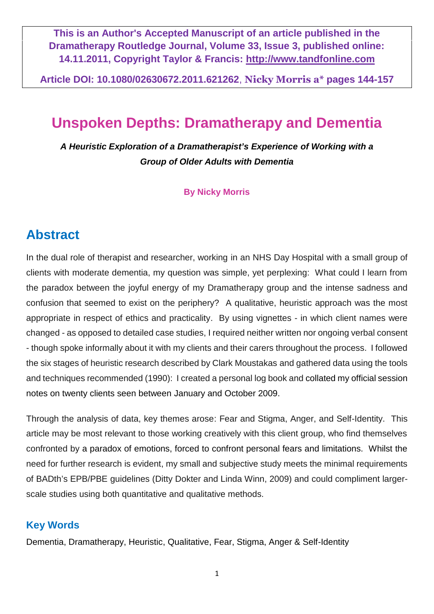**This is an Author's Accepted Manuscript of an article published in the Dramatherapy Routledge Journal, Volume 33, Issue 3, published online: 14.11.2011, Copyright Taylor & Francis: http://www.tandfonline.com**

**Article DOI: 10.1080/02630672.2011.621262**, **Nicky Morris a\* pages 144-157**

# **Unspoken Depths: Dramatherapy and Dementia**

*A Heuristic Exploration of a Dramatherapist's Experience of Working with a Group of Older Adults with Dementia*

## **By Nicky Morris**

# **Abstract**

In the dual role of therapist and researcher, working in an NHS Day Hospital with a small group of clients with moderate dementia, my question was simple, yet perplexing: What could I learn from the paradox between the joyful energy of my Dramatherapy group and the intense sadness and confusion that seemed to exist on the periphery? A qualitative, heuristic approach was the most appropriate in respect of ethics and practicality. By using vignettes - in which client names were changed - as opposed to detailed case studies, I required neither written nor ongoing verbal consent - though spoke informally about it with my clients and their carers throughout the process. I followed the six stages of heuristic research described by Clark Moustakas and gathered data using the tools and techniques recommended (1990): I created a personal log book and collated my official session notes on twenty clients seen between January and October 2009.

Through the analysis of data, key themes arose: Fear and Stigma, Anger, and Self-Identity. This article may be most relevant to those working creatively with this client group, who find themselves confronted by a paradox of emotions, forced to confront personal fears and limitations. Whilst the need for further research is evident, my small and subjective study meets the minimal requirements of BADth's EPB/PBE guidelines (Ditty Dokter and Linda Winn, 2009) and could compliment larger scale studies using both quantitative and qualitative methods.

# **Key Words**

Dementia, Dramatherapy, Heuristic, Qualitative, Fear, Stigma, Anger & Self-Identity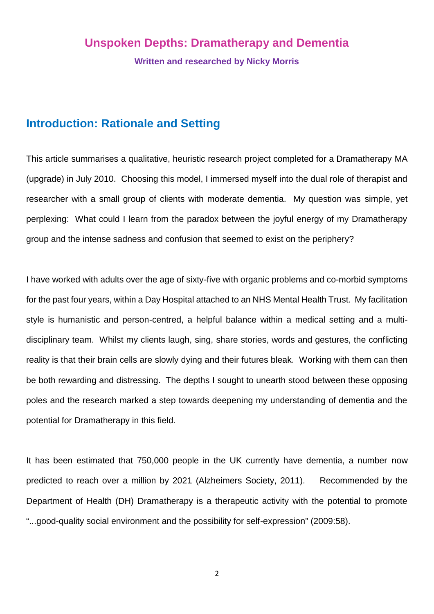# **Unspoken Depths: Dramatherapy and Dementia Written and researched by Nicky Morris**

# **Introduction: Rationale and Setting**

This article summarises a qualitative, heuristic research project completed for a Dramatherapy MA (upgrade) in July 2010. Choosing this model, I immersed myself into the dual role of therapist and researcher with a small group of clients with moderate dementia. My question was simple, yet perplexing: What could I learn from the paradox between the joyful energy of my Dramatherapy group and the intense sadness and confusion that seemed to exist on the periphery?

I have worked with adults over the age of sixty-five with organic problems and co-morbid symptoms for the past four years, within a Day Hospital attached to an NHS Mental Health Trust. My facilitation style is humanistic and person-centred, a helpful balance within a medical setting and a multi disciplinary team. Whilst my clients laugh, sing, share stories, words and gestures, the conflicting reality is that their brain cells are slowly dying and their futures bleak. Working with them can then be both rewarding and distressing. The depths I sought to unearth stood between these opposing poles and the research marked a step towards deepening my understanding of dementia and the potential for Dramatherapy in this field.

It has been estimated that 750,000 people in the UK currently have dementia, a number now predicted to reach over a million by 2021 (Alzheimers Society, 2011). Recommended by the Department of Health (DH) Dramatherapy is a therapeutic activity with the potential to promote "...good-quality social environment and the possibility for self-expression" (2009:58).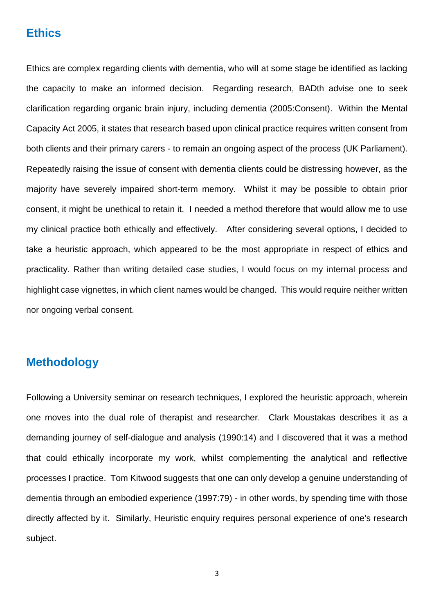# **Ethics**

Ethics are complex regarding clients with dementia, who will at some stage be identified as lacking the capacity to make an informed decision. Regarding research, BADth advise one to seek clarification regarding organic brain injury, including dementia (2005:Consent). Within the Mental Capacity Act 2005, it states that research based upon clinical practice requires written consent from both clients and their primary carers - to remain an ongoing aspect of the process (UK Parliament). Repeatedly raising the issue of consent with dementia clients could be distressing however, as the majority have severely impaired short-term memory. Whilst it may be possible to obtain prior consent, it might be unethical to retain it. I needed a method therefore that would allow me to use my clinical practice both ethically and effectively. After considering several options, I decided to take a heuristic approach, which appeared to be the most appropriate in respect of ethics and practicality. Rather than writing detailed case studies, I would focus on my internal process and highlight case vignettes, in which client names would be changed. This would require neither written nor ongoing verbal consent.

# **Methodology**

Following a University seminar on research techniques, I explored the heuristic approach, wherein one moves into the dual role of therapist and researcher. Clark Moustakas describes it as a demanding journey of self-dialogue and analysis (1990:14) and I discovered that it was a method that could ethically incorporate my work, whilst complementing the analytical and reflective processes I practice. Tom Kitwood suggests that one can only develop a genuine understanding of dementia through an embodied experience (1997:79) - in other words, by spending time with those directly affected by it. Similarly, Heuristic enquiry requires personal experience of one's research subject.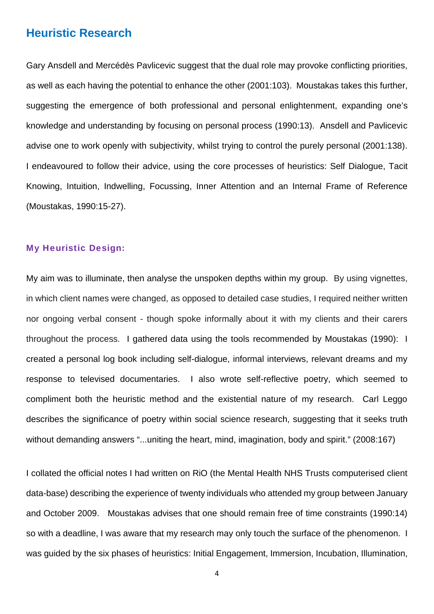# **Heuristic Research**

Gary Ansdell and Mercédès Pavlicevic suggest that the dual role may provoke conflicting priorities, as well as each having the potential to enhance the other (2001:103). Moustakas takes this further, suggesting the emergence of both professional and personal enlightenment, expanding one's knowledge and understanding by focusing on personal process (1990:13). Ansdell and Pavlicevic advise one to work openly with subjectivity, whilst trying to control the purely personal (2001:138). I endeavoured to follow their advice, using the core processes of heuristics: Self Dialogue, Tacit Knowing, Intuition, Indwelling, Focussing, Inner Attention and an Internal Frame of Reference (Moustakas, 1990:15-27).

### **My Heuristic Design:**

My aim was to illuminate, then analyse the unspoken depths within my group. By using vignettes, in which client names were changed, as opposed to detailed case studies, I required neither written nor ongoing verbal consent - though spoke informally about it with my clients and their carers throughout the process. I gathered data using the tools recommended by Moustakas (1990): I created a personal log book including self-dialogue, informal interviews, relevant dreams and my response to televised documentaries. I also wrote self-reflective poetry, which seemed to compliment both the heuristic method and the existential nature of my research. Carl Leggo describes the significance of poetry within social science research, suggesting that it seeks truth without demanding answers "...uniting the heart, mind, imagination, body and spirit." (2008:167)

I collated the official notes I had written on RiO (the Mental Health NHS Trusts computerised client data-base) describing the experience of twenty individuals who attended my group between January and October 2009. Moustakas advises that one should remain free of time constraints (1990:14) so with a deadline, I was aware that my research may only touch the surface of the phenomenon. I was guided by the six phases of heuristics: Initial Engagement, Immersion, Incubation, Illumination,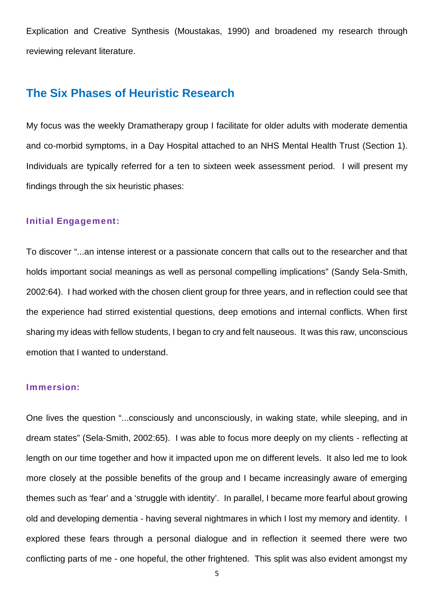Explication and Creative Synthesis (Moustakas, 1990) and broadened my research through reviewing relevant literature.

# **The Six Phases of Heuristic Research**

My focus was the weekly Dramatherapy group I facilitate for older adults with moderate dementia and co-morbid symptoms, in a Day Hospital attached to an NHS Mental Health Trust (Section 1). Individuals are typically referred for a ten to sixteen week assessment period. I will present my findings through the six heuristic phases:

### **Initial Engagement:**

To discover "...an intense interest or a passionate concern that calls out to the researcher and that holds important social meanings as well as personal compelling implications" (Sandy Sela-Smith, 2002:64). I had worked with the chosen client group for three years, and in reflection could see that the experience had stirred existential questions, deep emotions and internal conflicts. When first sharing my ideas with fellow students, I began to cry and felt nauseous. It was this raw, unconscious emotion that I wanted to understand.

### **Immersion:**

One lives the question "...consciously and unconsciously, in waking state, while sleeping, and in dream states" (Sela-Smith, 2002:65). I was able to focus more deeply on my clients - reflecting at length on our time together and how it impacted upon me on different levels. It also led me to look more closely at the possible benefits of the group and I became increasingly aware of emerging themes such as 'fear' and a 'struggle with identity'. In parallel, I became more fearful about growing old and developing dementia - having several nightmares in which I lost my memory and identity. I explored these fears through a personal dialogue and in reflection it seemed there were two conflicting parts of me - one hopeful, the other frightened. This split was also evident amongst my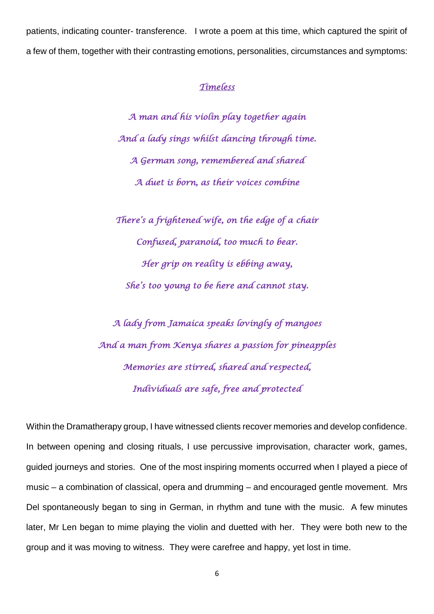patients, indicating counter- transference. I wrote a poem at this time, which captured the spirit of a few of them, together with their contrasting emotions, personalities, circumstances and symptoms:

# **Timeless**

**A man and his violin play together again And a lady sings whilst dancing through time. A German song, remembered and shared A duet is born, as their voices combine**

**There's a frightened wife, on the edge of a chair Confused, paranoid, too much to bear. Her grip on reality is ebbing away, She's too young to be here and cannot stay.**

**A lady from Jamaica speaks lovingly of mangoes And a man from Kenya shares a passion for pineapples Memories are stirred, shared and respected, Individuals are safe, free and protected**

Within the Dramatherapy group, I have witnessed clients recover memories and develop confidence. In between opening and closing rituals, I use percussive improvisation, character work, games, guided journeys and stories. One of the most inspiring moments occurred when I played a piece of music – a combination of classical, opera and drumming – and encouraged gentle movement. Mrs Del spontaneously began to sing in German, in rhythm and tune with the music. A few minutes later, Mr Len began to mime playing the violin and duetted with her. They were both new to the group and it was moving to witness. They were carefree and happy, yet lost in time.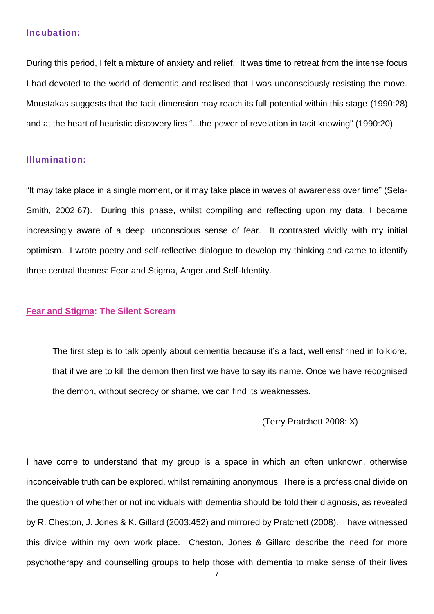#### **Incubation:**

During this period, I felt a mixture of anxiety and relief. It was time to retreat from the intense focus I had devoted to the world of dementia and realised that I was unconsciously resisting the move. Moustakas suggests that the tacit dimension may reach its full potential within this stage (1990:28) and at the heart of heuristic discovery lies "...the power of revelation in tacit knowing" (1990:20).

#### **Illumination:**

"It may take place in a single moment, or it may take place in waves of awareness over time" (Sela- Smith, 2002:67). During this phase, whilst compiling and reflecting upon my data, I became increasingly aware of a deep, unconscious sense of fear. It contrasted vividly with my initial optimism. I wrote poetry and self-reflective dialogue to develop my thinking and came to identify three central themes: Fear and Stigma, Anger and Self-Identity.

#### **Fear and Stigma: The Silent Scream**

The first step is to talk openly about dementia because it's a fact, well enshrined in folklore, that if we are to kill the demon then first we have to say its name. Once we have recognised the demon, without secrecy or shame, we can find its weaknesses.

(Terry Pratchett 2008: X)

I have come to understand that my group is a space in which an often unknown, otherwise inconceivable truth can be explored, whilst remaining anonymous. There is a professional divide on the question of whether or not individuals with dementia should be told their diagnosis, as revealed by R. Cheston, J. Jones & K. Gillard (2003:452) and mirrored by Pratchett (2008). I have witnessed this divide within my own work place. Cheston, Jones & Gillard describe the need for more psychotherapy and counselling groups to help those with dementia to make sense of their lives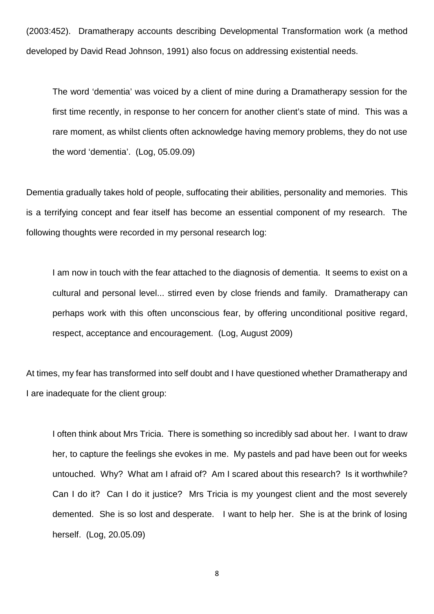(2003:452). Dramatherapy accounts describing Developmental Transformation work (a method developed by David Read Johnson, 1991) also focus on addressing existential needs.

The word 'dementia' was voiced by a client of mine during a Dramatherapy session for the first time recently, in response to her concern for another client's state of mind. This was a rare moment, as whilst clients often acknowledge having memory problems, they do not use the word 'dementia'. (Log, 05.09.09)

Dementia gradually takes hold of people, suffocating their abilities, personality and memories. This is a terrifying concept and fear itself has become an essential component of my research. The following thoughts were recorded in my personal research log:

I am now in touch with the fear attached to the diagnosis of dementia. It seems to exist on a cultural and personal level... stirred even by close friends and family. Dramatherapy can perhaps work with this often unconscious fear, by offering unconditional positive regard, respect, acceptance and encouragement. (Log, August 2009)

At times, my fear has transformed into self doubt and I have questioned whether Dramatherapy and I are inadequate for the client group:

I often think about Mrs Tricia. There is something so incredibly sad about her. I want to draw her, to capture the feelings she evokes in me. My pastels and pad have been out for weeks untouched. Why? What am I afraid of? Am I scared about this research? Is it worthwhile? Can I do it? Can I do it justice? Mrs Tricia is my youngest client and the most severely demented. She is so lost and desperate. I want to help her. She is at the brink of losing herself. (Log, 20.05.09)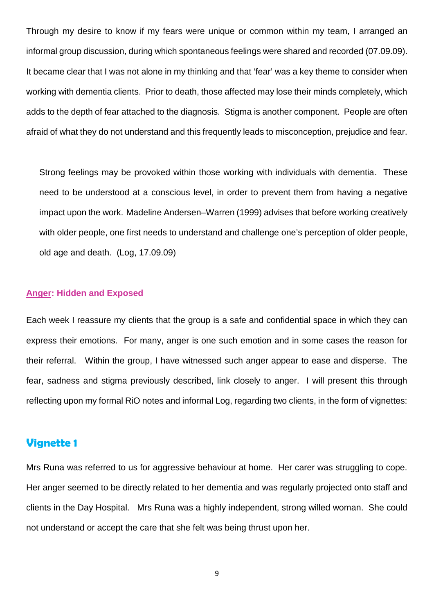Through my desire to know if my fears were unique or common within my team, I arranged an informal group discussion, during which spontaneous feelings were shared and recorded (07.09.09). It became clear that I was not alone in my thinking and that 'fear' was a key theme to consider when working with dementia clients. Prior to death, those affected may lose their minds completely, which adds to the depth of fear attached to the diagnosis. Stigma is another component. People are often afraid of what they do not understand and this frequently leads to misconception, prejudice and fear.

Strong feelings may be provoked within those working with individuals with dementia. These need to be understood at a conscious level, in order to prevent them from having a negative impact upon the work. Madeline Andersen–Warren (1999) advises that before working creatively with older people, one first needs to understand and challenge one's perception of older people, old age and death. (Log, 17.09.09)

### **Anger: Hidden and Exposed**

Each week I reassure my clients that the group is a safe and confidential space in which they can express their emotions. For many, anger is one such emotion and in some cases the reason for their referral. Within the group, I have witnessed such anger appear to ease and disperse. The fear, sadness and stigma previously described, link closely to anger. I will present this through reflecting upon my formal RiO notes and informal Log, regarding two clients, in the form of vignettes:

## **Vignette 1**

Mrs Runa was referred to us for aggressive behaviour at home. Her carer was struggling to cope. Her anger seemed to be directly related to her dementia and was regularly projected onto staff and clients in the Day Hospital. Mrs Runa was a highly independent, strong willed woman. She could not understand or accept the care that she felt was being thrust upon her.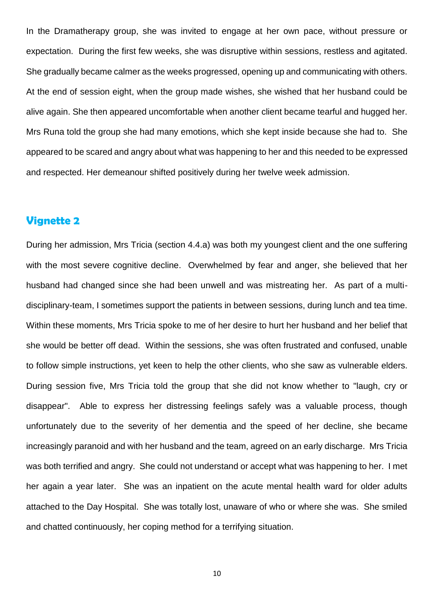In the Dramatherapy group, she was invited to engage at her own pace, without pressure or expectation. During the first few weeks, she was disruptive within sessions, restless and agitated. She gradually became calmer as the weeks progressed, opening up and communicating with others. At the end of session eight, when the group made wishes, she wished that her husband could be alive again. She then appeared uncomfortable when another client became tearful and hugged her. Mrs Runa told the group she had many emotions, which she kept inside because she had to. She appeared to be scared and angry about what was happening to her and this needed to be expressed and respected. Her demeanour shifted positively during her twelve week admission.

# **Vignette 2**

During her admission, Mrs Tricia (section 4.4.a) was both my youngest client and the one suffering with the most severe cognitive decline. Overwhelmed by fear and anger, she believed that her husband had changed since she had been unwell and was mistreating her. As part of a multi disciplinary-team, I sometimes support the patients in between sessions, during lunch and tea time. Within these moments, Mrs Tricia spoke to me of her desire to hurt her husband and her belief that she would be better off dead. Within the sessions, she was often frustrated and confused, unable to follow simple instructions, yet keen to help the other clients, who she saw as vulnerable elders. During session five, Mrs Tricia told the group that she did not know whether to "laugh, cry or disappear". Able to express her distressing feelings safely was a valuable process, though unfortunately due to the severity of her dementia and the speed of her decline, she became increasingly paranoid and with her husband and the team, agreed on an early discharge. Mrs Tricia was both terrified and angry. She could not understand or accept what was happening to her. I met her again a year later. She was an inpatient on the acute mental health ward for older adults attached to the Day Hospital. She was totally lost, unaware of who or where she was. She smiled and chatted continuously, her coping method for a terrifying situation.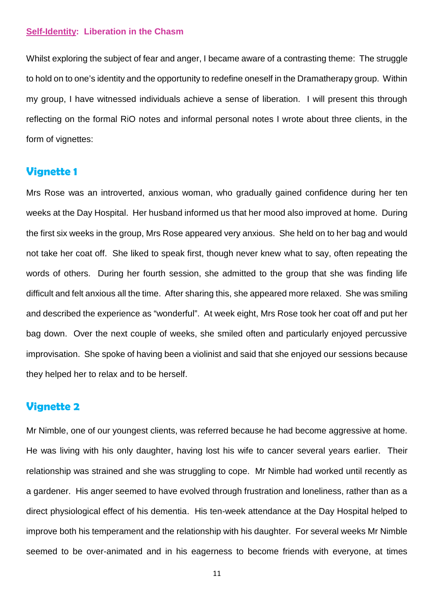#### **Self-Identity: Liberation in the Chasm**

Whilst exploring the subject of fear and anger, I became aware of a contrasting theme: The struggle to hold on to one's identity and the opportunity to redefine oneself in the Dramatherapy group. Within my group, I have witnessed individuals achieve a sense of liberation. I will present this through reflecting on the formal RiO notes and informal personal notes I wrote about three clients, in the form of vignettes:

### **Vignette 1**

Mrs Rose was an introverted, anxious woman, who gradually gained confidence during her ten weeks at the Day Hospital. Her husband informed us that her mood also improved at home. During the first six weeks in the group, Mrs Rose appeared very anxious. She held on to her bag and would not take her coat off. She liked to speak first, though never knew what to say, often repeating the words of others. During her fourth session, she admitted to the group that she was finding life difficult and felt anxious all the time. After sharing this, she appeared more relaxed. She was smiling and described the experience as "wonderful". At week eight, Mrs Rose took her coat off and put her bag down. Over the next couple of weeks, she smiled often and particularly enjoyed percussive improvisation. She spoke of having been a violinist and said that she enjoyed our sessions because they helped her to relax and to be herself.

## **Vignette 2**

Mr Nimble, one of our youngest clients, was referred because he had become aggressive at home. He was living with his only daughter, having lost his wife to cancer several years earlier. Their relationship was strained and she was struggling to cope. Mr Nimble had worked until recently as a gardener. His anger seemed to have evolved through frustration and loneliness, rather than as a direct physiological effect of his dementia. His ten-week attendance at the Day Hospital helped to improve both his temperament and the relationship with his daughter. For several weeks Mr Nimble seemed to be over-animated and in his eagerness to become friends with everyone, at times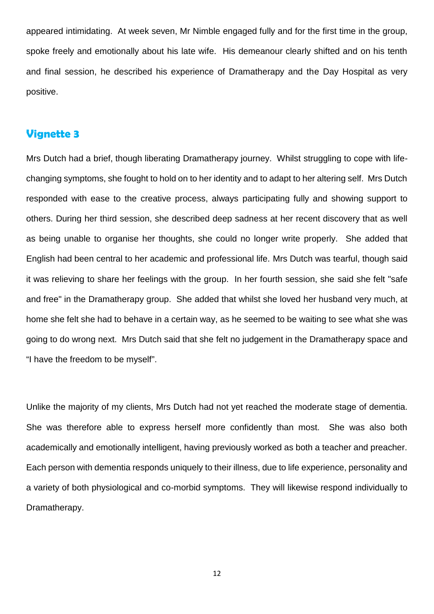appeared intimidating. At week seven, Mr Nimble engaged fully and for the first time in the group, spoke freely and emotionally about his late wife. His demeanour clearly shifted and on his tenth and final session, he described his experience of Dramatherapy and the Day Hospital as very positive.

## **Vignette 3**

Mrs Dutch had a brief, though liberating Dramatherapy journey. Whilst struggling to cope with life changing symptoms, she fought to hold on to her identity and to adapt to her altering self. Mrs Dutch responded with ease to the creative process, always participating fully and showing support to others. During her third session, she described deep sadness at her recent discovery that as well as being unable to organise her thoughts, she could no longer write properly. She added that English had been central to her academic and professional life. Mrs Dutch was tearful, though said it was relieving to share her feelings with the group. In her fourth session, she said she felt "safe and free" in the Dramatherapy group. She added that whilst she loved her husband very much, at home she felt she had to behave in a certain way, as he seemed to be waiting to see what she was going to do wrong next. Mrs Dutch said that she felt no judgement in the Dramatherapy space and "I have the freedom to be myself".

Unlike the majority of my clients, Mrs Dutch had not yet reached the moderate stage of dementia. She was therefore able to express herself more confidently than most. She was also both academically and emotionally intelligent, having previously worked as both a teacher and preacher. Each person with dementia responds uniquely to their illness, due to life experience, personality and a variety of both physiological and co-morbid symptoms. They will likewise respond individually to Dramatherapy.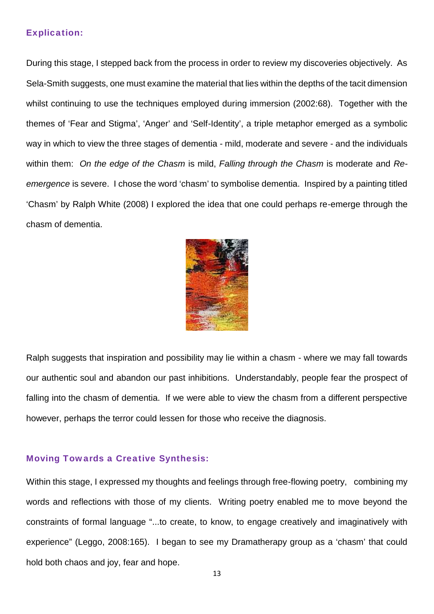### **Explication:**

During this stage, I stepped back from the process in order to review my discoveries objectively. As Sela-Smith suggests, one must examine the material that lies within the depths of the tacit dimension whilst continuing to use the techniques employed during immersion (2002:68). Together with the themes of 'Fear and Stigma', 'Anger' and 'Self-Identity', a triple metaphor emerged as a symbolic way in which to view the three stages of dementia - mild, moderate and severe - and the individuals within them: *On the edge of the Chasm* is mild, *Falling through the Chasm* is moderate and *Re emergence* is severe. I chose the word 'chasm' to symbolise dementia. Inspired by a painting titled 'Chasm' by Ralph White (2008) I explored the idea that one could perhaps re-emerge through the chasm of dementia.



Ralph suggests that inspiration and possibility may lie within a chasm - where we may fall towards our authentic soul and abandon our past inhibitions. Understandably, people fear the prospect of falling into the chasm of dementia. If we were able to view the chasm from a different perspective however, perhaps the terror could lessen for those who receive the diagnosis.

### **Moving Towards a Creative Synthesis:**

Within this stage, I expressed my thoughts and feelings through free-flowing poetry, combining my words and reflections with those of my clients. Writing poetry enabled me to move beyond the constraints of formal language "...to create, to know, to engage creatively and imaginatively with experience" (Leggo, 2008:165). I began to see my Dramatherapy group as a 'chasm' that could hold both chaos and joy, fear and hope.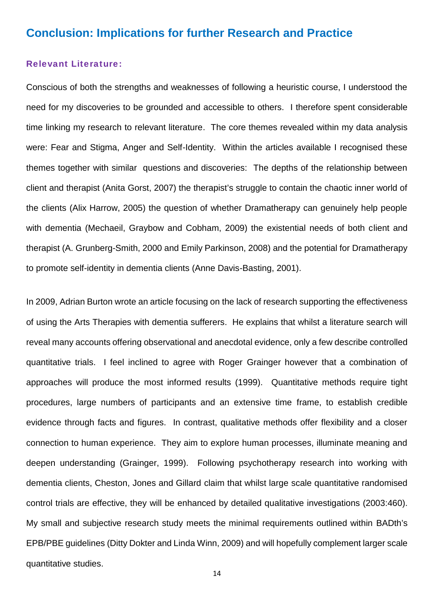# **Conclusion: Implications for further Research and Practice**

### **Relevant Literature:**

Conscious of both the strengths and weaknesses of following a heuristic course, I understood the need for my discoveries to be grounded and accessible to others. I therefore spent considerable time linking my research to relevant literature. The core themes revealed within my data analysis were: Fear and Stigma, Anger and Self-Identity. Within the articles available I recognised these themes together with similar questions and discoveries: The depths of the relationship between client and therapist (Anita Gorst, 2007) the therapist's struggle to contain the chaotic inner world of the clients (Alix Harrow, 2005) the question of whether Dramatherapy can genuinely help people with dementia (Mechaeil, Graybow and Cobham, 2009) the existential needs of both client and therapist (A. Grunberg-Smith, 2000 and Emily Parkinson, 2008) and the potential for Dramatherapy to promote self-identity in dementia clients (Anne Davis-Basting, 2001).

In 2009, Adrian Burton wrote an article focusing on the lack of research supporting the effectiveness of using the Arts Therapies with dementia sufferers. He explains that whilst a literature search will reveal many accounts offering observational and anecdotal evidence, only a few describe controlled quantitative trials. I feel inclined to agree with Roger Grainger however that a combination of approaches will produce the most informed results (1999). Quantitative methods require tight procedures, large numbers of participants and an extensive time frame, to establish credible evidence through facts and figures. In contrast, qualitative methods offer flexibility and a closer connection to human experience. They aim to explore human processes, illuminate meaning and deepen understanding (Grainger, 1999). Following psychotherapy research into working with dementia clients, Cheston, Jones and Gillard claim that whilst large scale quantitative randomised control trials are effective, they will be enhanced by detailed qualitative investigations (2003:460). My small and subjective research study meets the minimal requirements outlined within BADth's EPB/PBE guidelines (Ditty Dokter and Linda Winn, 2009) and will hopefully complement larger scale quantitative studies.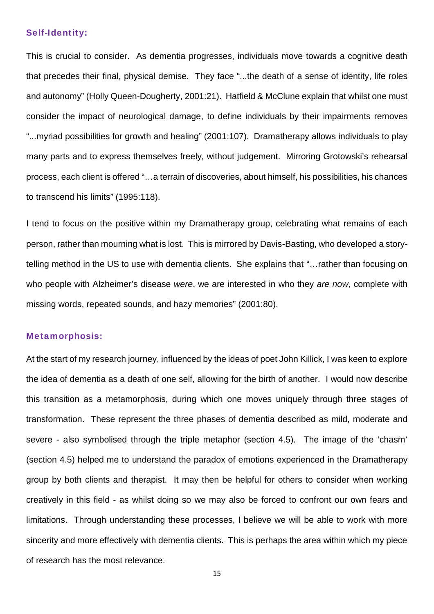#### **Self-Identity:**

This is crucial to consider. As dementia progresses, individuals move towards a cognitive death that precedes their final, physical demise. They face "...the death of a sense of identity, life roles and autonomy" (Holly Queen-Dougherty, 2001:21). Hatfield & McClune explain that whilst one must consider the impact of neurological damage, to define individuals by their impairments removes "...myriad possibilities for growth and healing" (2001:107). Dramatherapy allows individuals to play many parts and to express themselves freely, without judgement. Mirroring Grotowski's rehearsal process, each client is offered "…a terrain of discoveries, about himself, his possibilities, his chances to transcend his limits" (1995:118).

I tend to focus on the positive within my Dramatherapy group, celebrating what remains of each person, rather than mourning what is lost. This is mirrored by Davis-Basting, who developed a storytelling method in the US to use with dementia clients. She explains that "…rather than focusing on who people with Alzheimer's disease *were*, we are interested in who they *are now*, complete with missing words, repeated sounds, and hazy memories" (2001:80).

#### **Metamorphosis:**

At the start of my research journey, influenced by the ideas of poet John Killick, I was keen to explore the idea of dementia as a death of one self, allowing for the birth of another. I would now describe this transition as a metamorphosis, during which one moves uniquely through three stages of transformation. These represent the three phases of dementia described as mild, moderate and severe - also symbolised through the triple metaphor (section 4.5). The image of the 'chasm' (section 4.5) helped me to understand the paradox of emotions experienced in the Dramatherapy group by both clients and therapist. It may then be helpful for others to consider when working creatively in this field - as whilst doing so we may also be forced to confront our own fears and limitations. Through understanding these processes, I believe we will be able to work with more sincerity and more effectively with dementia clients. This is perhaps the area within which my piece of research has the most relevance.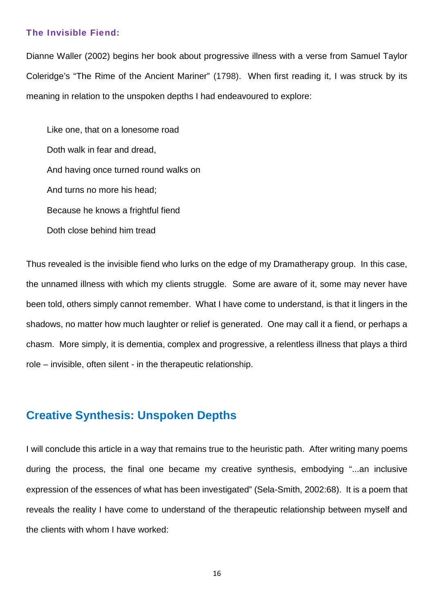#### **The Invisible Fiend:**

Dianne Waller (2002) begins her book about progressive illness with a verse from Samuel Taylor Coleridge's "The Rime of the Ancient Mariner" (1798). When first reading it, I was struck by its meaning in relation to the unspoken depths I had endeavoured to explore:

Like one, that on a lonesome road Doth walk in fear and dread, And having once turned round walks on And turns no more his head; Because he knows a frightful fiend Doth close behind him tread

Thus revealed is the invisible fiend who lurks on the edge of my Dramatherapy group. In this case, the unnamed illness with which my clients struggle. Some are aware of it, some may never have been told, others simply cannot remember. What I have come to understand, is that it lingers in the shadows, no matter how much laughter or relief is generated. One may call it a fiend, or perhaps a chasm. More simply, it is dementia, complex and progressive, a relentless illness that plays a third role – invisible, often silent - in the therapeutic relationship.

# **Creative Synthesis: Unspoken Depths**

I will conclude this article in a way that remains true to the heuristic path. After writing many poems during the process, the final one became my creative synthesis, embodying "...an inclusive expression of the essences of what has been investigated" (Sela-Smith, 2002:68). It is a poem that reveals the reality I have come to understand of the therapeutic relationship between myself and the clients with whom I have worked: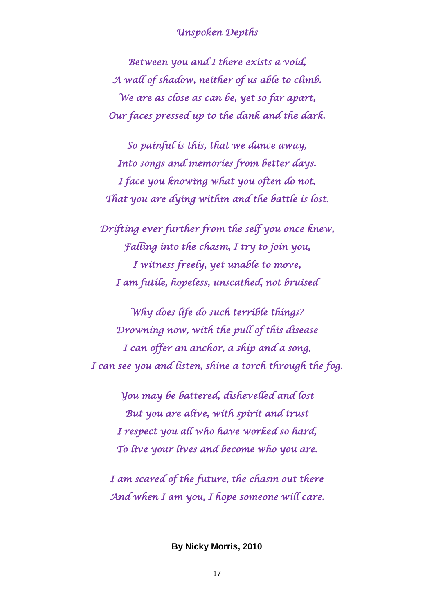# **Unspoken Depths**

**Between you and I there exists a void, A wall of shadow, neither of us able to climb. We are as close as can be, yet so far apart, Our faces pressed up to the dank and the dark.**

**So painful is this, that we dance away, Into songs and memories from better days. I face you knowing what you often do not, That you are dying within and the battle is lost.**

**Drifting ever further from the self you once knew, Falling into the chasm, I try to join you, I witness freely, yet unable to move, I am futile, hopeless, unscathed, not bruised**

**Why does life do such terrible things? Drowning now, with the pull of this disease I can offer an anchor, a ship and a song, I can see you and listen, shine a torch through the fog.**

**You may be battered, dishevelled and lost But you are alive, with spirit and trust I respect you all who have worked so hard, To live your lives and become who you are.**

**I am scared of the future, the chasm out there And when I am you, I hope someone will care.**

**By Nicky Morris, 2010**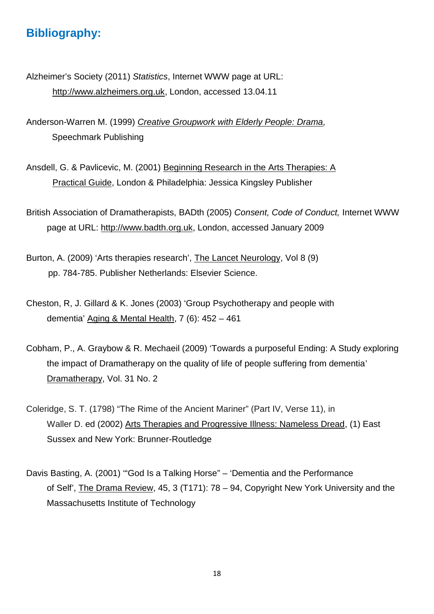# **Bibliography:**

- Alzheimer's Society (2011) *Statistics*, Internet WWW page at URL: http://www.alzheimers.org.uk, London, accessed 13.04.11
- Anderson-Warren M. (1999) *Creative Groupwork with Elderly People: Drama,* Speechmark Publishing
- Ansdell, G. & Pavlicevic, M. (2001) Beginning Research in the Arts Therapies: A Practical Guide, London & Philadelphia: Jessica Kingsley Publisher
- British Association of Dramatherapists, BADth (2005) *Consent, Code of Conduct,* Internet WWW page at URL: http://www.badth.org.uk, London, accessed January 2009
- Burton, A. (2009) 'Arts therapies research', The Lancet Neurology, Vol 8 (9) pp. 784-785. Publisher Netherlands: Elsevier Science.
- Cheston, R, J. Gillard & K. Jones (2003) 'Group Psychotherapy and people with dementia' Aging & Mental Health, 7 (6): 452 – 461
- Cobham, P., A. Graybow & R. Mechaeil (2009) 'Towards a purposeful Ending: A Study exploring the impact of Dramatherapy on the quality of life of people suffering from dementia' Dramatherapy, Vol. 31 No. 2
- Coleridge, S. T. (1798) "The Rime of the Ancient Mariner" (Part IV, Verse 11), in Waller D. ed (2002) Arts Therapies and Progressive Illness: Nameless Dread, (1) East Sussex and New York: Brunner-Routledge
- Davis Basting, A. (2001) '"God Is a Talking Horse" 'Dementia and the Performance of Self', The Drama Review, 45, 3 (T171): 78 – 94, Copyright New York University and the Massachusetts Institute of Technology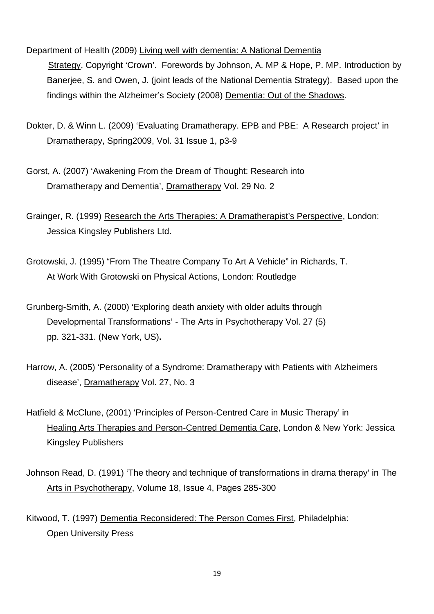Department of Health (2009) Living well with dementia: A National Dementia

Strategy, Copyright 'Crown'. Forewords by Johnson, A. MP & Hope, P. MP. Introduction by Banerjee, S. and Owen, J. (joint leads of the National Dementia Strategy). Based upon the findings within the Alzheimer's Society (2008) Dementia: Out of the Shadows.

Dokter, D. & Winn L. (2009) 'Evaluating Dramatherapy. EPB and PBE: A Research project' in Dramatherapy, Spring2009, Vol. 31 Issue 1, p3-9

Gorst, A. (2007) 'Awakening From the Dream of Thought: Research into Dramatherapy and Dementia', Dramatherapy Vol. 29 No. 2

Grainger, R. (1999) Research the Arts Therapies: A Dramatherapist's Perspective, London: Jessica Kingsley Publishers Ltd.

Grotowski, J. (1995) "From The Theatre Company To Art A Vehicle" in Richards, T. At Work With Grotowski on Physical Actions, London: Routledge

Grunberg-Smith, A. (2000) 'Exploring death anxiety with older adults through Developmental Transformations' - The Arts in Psychotherapy Vol. 27 (5) pp. 321-331. (New York, US)**.**

Harrow, A. (2005) 'Personality of a Syndrome: Dramatherapy with Patients with Alzheimers disease', Dramatherapy Vol. 27, No. 3

Hatfield & McClune, (2001) 'Principles of Person-Centred Care in Music Therapy' in Healing Arts Therapies and Person-Centred Dementia Care, London & New York: Jessica Kingsley Publishers

Johnson Read, D. (1991) 'The theory and technique of transformations in drama therapy' in The Arts in Psychotherapy, Volume 18, Issue 4, Pages 285-300

Kitwood, T. (1997) Dementia Reconsidered: The Person Comes First, Philadelphia: Open University Press